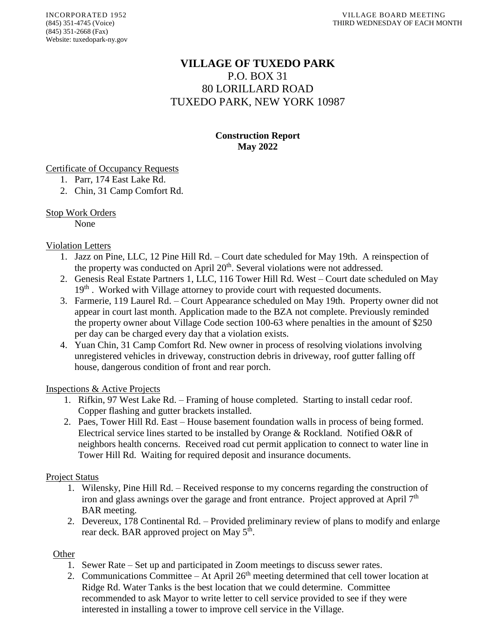# **VILLAGE OF TUXEDO PARK** P.O. BOX 31 80 LORILLARD ROAD TUXEDO PARK, NEW YORK 10987

# **Construction Report May 2022**

## Certificate of Occupancy Requests

- 1. Parr, 174 East Lake Rd.
- 2. Chin, 31 Camp Comfort Rd.

# Stop Work Orders

None

# Violation Letters

- 1. Jazz on Pine, LLC, 12 Pine Hill Rd. Court date scheduled for May 19th. A reinspection of the property was conducted on April 20<sup>th</sup>. Several violations were not addressed.
- 2. Genesis Real Estate Partners 1, LLC, 116 Tower Hill Rd. West Court date scheduled on May 19<sup>th</sup>. Worked with Village attorney to provide court with requested documents.
- 3. Farmerie, 119 Laurel Rd. Court Appearance scheduled on May 19th. Property owner did not appear in court last month. Application made to the BZA not complete. Previously reminded the property owner about Village Code section 100-63 where penalties in the amount of \$250 per day can be charged every day that a violation exists.
- 4. Yuan Chin, 31 Camp Comfort Rd. New owner in process of resolving violations involving unregistered vehicles in driveway, construction debris in driveway, roof gutter falling off house, dangerous condition of front and rear porch.

## Inspections & Active Projects

- 1. Rifkin, 97 West Lake Rd. Framing of house completed. Starting to install cedar roof. Copper flashing and gutter brackets installed.
- 2. Paes, Tower Hill Rd. East House basement foundation walls in process of being formed. Electrical service lines started to be installed by Orange & Rockland. Notified O&R of neighbors health concerns. Received road cut permit application to connect to water line in Tower Hill Rd. Waiting for required deposit and insurance documents.

## Project Status

- 1. Wilensky, Pine Hill Rd. Received response to my concerns regarding the construction of iron and glass awnings over the garage and front entrance. Project approved at April  $7<sup>th</sup>$ BAR meeting.
- 2. Devereux, 178 Continental Rd. Provided preliminary review of plans to modify and enlarge rear deck. BAR approved project on May 5<sup>th</sup>.

## **Other**

- 1. Sewer Rate Set up and participated in Zoom meetings to discuss sewer rates.
- 2. Communications Committee At April  $26<sup>th</sup>$  meeting determined that cell tower location at Ridge Rd. Water Tanks is the best location that we could determine. Committee recommended to ask Mayor to write letter to cell service provided to see if they were interested in installing a tower to improve cell service in the Village.